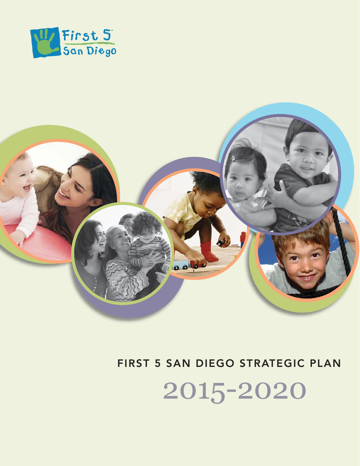



## **FIRST 5 SAN DIEGO STRATEGIC PLAN**

2015-2020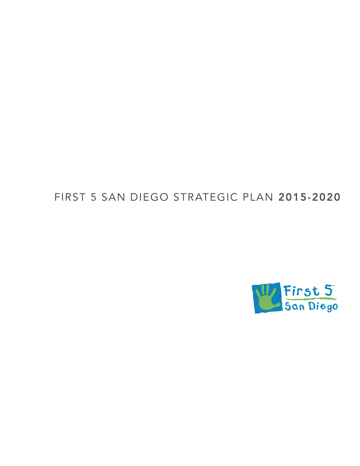# FIRST 5 SAN DIEGO STRATEGIC PLAN **2015-2020**

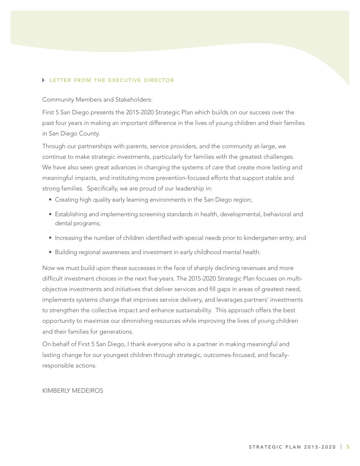#### **LETTER FROM THE EXECUTIVE DIRECTOR**

Community Members and Stakeholders:

First 5 San Diego presents the 2015-2020 Strategic Plan which builds on our success over the past four years in making an important difference in the lives of young children and their families in San Diego County.

Through our partnerships with parents, service providers, and the community at-large, we continue to make strategic investments, particularly for families with the greatest challenges. We have also seen great advances in changing the systems of care that create more lasting and meaningful impacts, and instituting more prevention-focused efforts that support stable and strong families. Specifically, we are proud of our leadership in:

- Creating high quality early learning environments in the San Diego region;
- Establishing and implementing screening standards in health, developmental, behavioral and dental programs;
- Increasing the number of children identified with special needs prior to kindergarten entry; and
- Building regional awareness and investment in early childhood mental health.

Now we must build upon these successes in the face of sharply declining revenues and more difficult investment choices in the next five years. The 2015-2020 Strategic Plan focuses on multiobjective investments and initiatives that deliver services and fill gaps in areas of greatest need, implements systems change that improves service delivery, and leverages partners' investments to strengthen the collective impact and enhance sustainability. This approach offers the best opportunity to maximize our diminishing resources while improving the lives of young children and their families for generations.

On behalf of First 5 San Diego, I thank everyone who is a partner in making meaningful and lasting change for our youngest children through strategic, outcomes-focused, and fiscallyresponsible actions.

#### KIMBERLY MEDEIROS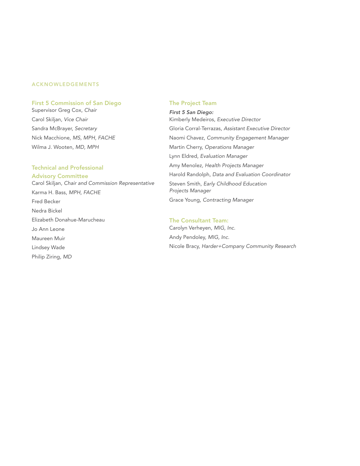#### **ACKNOWLEDGEMENTS**

#### **First 5 Commission of San Diego**

Supervisor Greg Cox, Chair Carol Skiljan, Vice Chair Sandra McBrayer, Secretary Nick Macchione, MS, MPH, FACHE Wilma J. Wooten, MD, MPH

#### **Technical and Professional Advisory Committee**

Carol Skiljan, Chair and Commission Representative Karma H. Bass, MPH, FACHE Fred Becker Nedra Bickel Elizabeth Donahue-Marucheau Jo Ann Leone Maureen Muir Lindsey Wade Philip Ziring, MD

#### **The Project Team**

*First 5 San Diego:* Kimberly Medeiros, Executive Director Gloria Corral-Terrazas, Assistant Executive Director Naomi Chavez, Community Engagement Manager Martin Cherry, Operations Manager Lynn Eldred, Evaluation Manager Amy Menolez, Health Projects Manager Harold Randolph, Data and Evaluation Coordinator Steven Smith, Early Childhood Education Projects Manager Grace Young, Contracting Manager

#### **The Consultant Team:**

Carolyn Verheyen, MIG, Inc. Andy Pendoley, MIG, Inc. Nicole Bracy, Harder+Company Community Research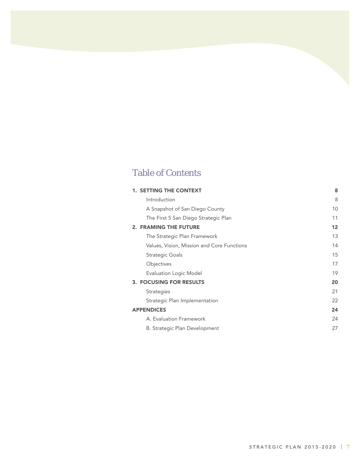### Table of Contents

| <b>1. SETTING THE CONTEXT</b>              | 8  |
|--------------------------------------------|----|
| Introduction                               | 8  |
| A Snapshot of San Diego County             | 10 |
| The First 5 San Diego Strategic Plan       | 11 |
| 2. FRAMING THE FUTURE                      | 12 |
| The Strategic Plan Framework               | 13 |
| Values, Vision, Mission and Core Functions | 14 |
| Strategic Goals                            | 15 |
| Objectives                                 | 17 |
| Evaluation Logic Model                     | 19 |
| <b>3. FOCUSING FOR RESULTS</b>             | 20 |
| Strategies                                 | 21 |
| Strategic Plan Implementation              | 22 |
| <b>APPENDICES</b>                          | 24 |
| A. Evaluation Framework                    | 24 |
| B. Strategic Plan Development              | 27 |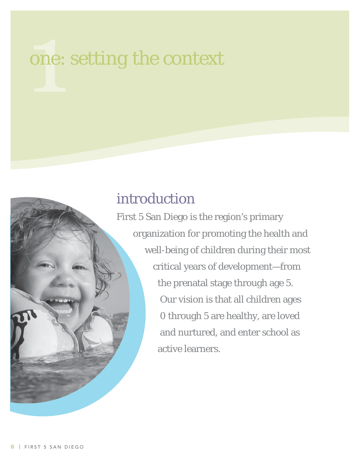# one: *setting the context*

# introduction

First 5 San Diego is the region's primary organization for promoting the health and well-being of children during their most critical years of development—from the prenatal stage through age 5. Our vision is that all children ages 0 through 5 are healthy, are loved and nurtured, and enter school as active learners.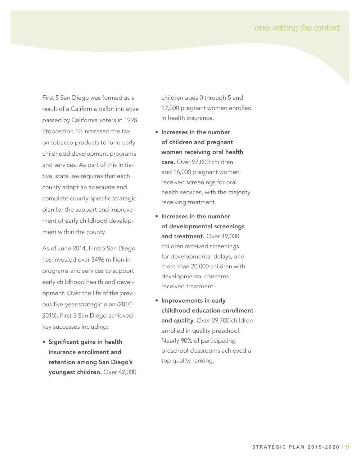#### one: *setting the context*

First 5 San Diego was formed as a result of a California ballot initiative passed by California voters in 1998. Proposition 10 increased the tax on tobacco products to fund early childhood development programs and services. As part of this initiative, state law requires that each county adopt an adequate and complete county-specific strategic plan for the support and improvement of early childhood development within the county.

As of June 2014, First 5 San Diego has invested over \$496 million in programs and services to support early childhood health and development. Over the life of the previous five-year strategic plan (2010-2015), First 5 San Diego achieved key successes including:

**• Significant gains in health insurance enrollment and retention among San Diego's youngest children.** Over 42,000

children ages 0 through 5 and 12,000 pregnant women enrolled in health insurance.

- **Increases in the number of children and pregnant women receiving oral health care.** Over 97,000 children and 16,000 pregnant women received screenings for oral health services, with the majority receiving treatment.
- **Increases in the number of developmental screenings and treatment.** Over 49,000 children received screenings for developmental delays, and more than 20,000 children with developmental concerns received treatment.
- **Improvements in early childhood education enrollment and quality.** Over 29,700 children enrolled in quality preschool. Nearly 90% of participating preschool classrooms achieved a top quality ranking.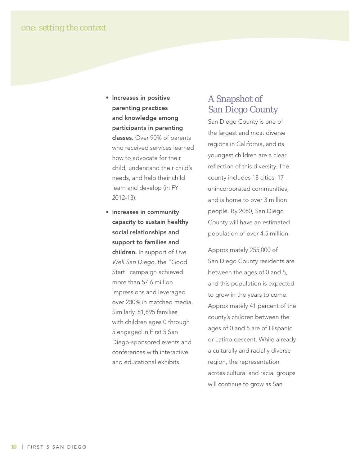- **Increases in positive parenting practices and knowledge among participants in parenting classes.** Over 90% of parents who received services learned how to advocate for their child, understand their child's needs, and help their child learn and develop (in FY 2012-13).
- **Increases in community capacity to sustain healthy social relationships and support to families and children.** In support of Live Well San Diego, the "Good Start" campaign achieved more than 57.6 million impressions and leveraged over 230% in matched media. Similarly, 81,895 families with children ages 0 through 5 engaged in First 5 San Diego-sponsored events and conferences with interactive and educational exhibits.

#### A Snapshot of San Diego County

San Diego County is one of the largest and most diverse regions in California, and its youngest children are a clear reflection of this diversity. The county includes 18 cities, 17 unincorporated communities, and is home to over 3 million people. By 2050, San Diego County will have an estimated population of over 4.5 million.

Approximately 255,000 of San Diego County residents are between the ages of 0 and 5, and this population is expected to grow in the years to come. Approximately 41 percent of the county's children between the ages of 0 and 5 are of Hispanic or Latino descent. While already a culturally and racially diverse region, the representation across cultural and racial groups will continue to grow as San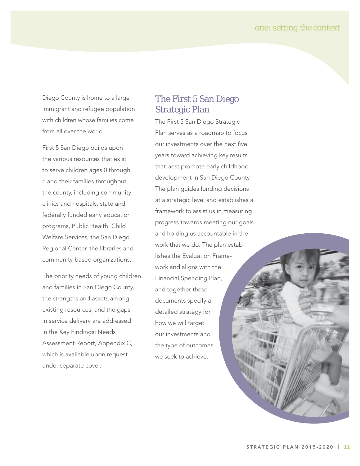one: *setting the context*

Diego County is home to a large immigrant and refugee population with children whose families come from all over the world.

First 5 San Diego builds upon the various resources that exist to serve children ages 0 through 5 and their families throughout the county, including community clinics and hospitals, state and federally funded early education programs, Public Health, Child Welfare Services, the San Diego Regional Center, the libraries and community-based organizations.

The priority needs of young children and families in San Diego County, the strengths and assets among existing resources, and the gaps in service delivery are addressed in the Key Findings: Needs Assessment Report, Appendix C, which is available upon request under separate cover.

#### The First 5 San Diego Strategic Plan

The First 5 San Diego Strategic Plan serves as a roadmap to focus our investments over the next five years toward achieving key results that best promote early childhood development in San Diego County. The plan guides funding decisions at a strategic level and establishes a framework to assist us in measuring progress towards meeting our goals and holding us accountable in the work that we do. The plan establishes the Evaluation Framework and aligns with the Financial Spending Plan, and together these documents specify a detailed strategy for how we will target our investments and the type of outcomes we seek to achieve.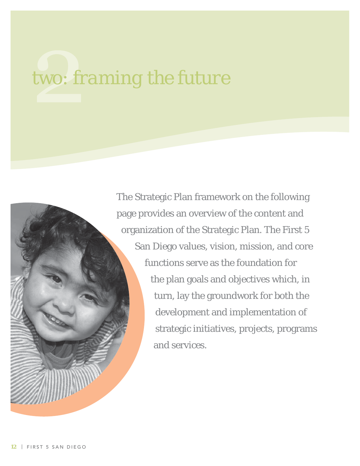The Strategic Plan framework on the following page provides an overview of the content and organization of the Strategic Plan. The First 5 San Diego values, vision, mission, and core functions serve as the foundation for the plan goals and objectives which, in turn, lay the groundwork for both the development and implementation of strategic initiatives, projects, programs and services.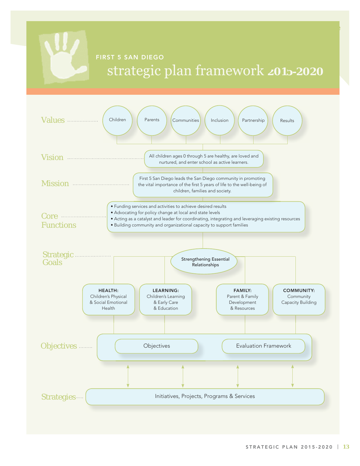

## **FIRST 5 SAN DIEGO 2015-2020**

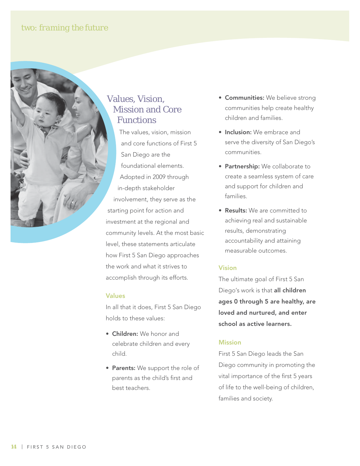#### Values, Vision, Mission and Core Functions

The values, vision, mission and core functions of First 5 San Diego are the foundational elements. Adopted in 2009 through in-depth stakeholder involvement, they serve as the starting point for action and investment at the regional and community levels. At the most basic level, these statements articulate how First 5 San Diego approaches the work and what it strives to accomplish through its efforts.

#### **Values**

In all that it does, First 5 San Diego holds to these values:

- **Children:** We honor and celebrate children and every child.
- **Parents:** We support the role of parents as the child's first and best teachers.
- **Communities:** We believe strong communities help create healthy children and families.
- **Inclusion:** We embrace and serve the diversity of San Diego's communities.
- **Partnership:** We collaborate to create a seamless system of care and support for children and families.
- **Results:** We are committed to achieving real and sustainable results, demonstrating accountability and attaining measurable outcomes.

#### **Vision**

The ultimate goal of First 5 San Diego's work is that **all children ages 0 through 5 are healthy, are loved and nurtured, and enter school as active learners.**

#### **Mission**

First 5 San Diego leads the San Diego community in promoting the vital importance of the first 5 years of life to the well-being of children, families and society.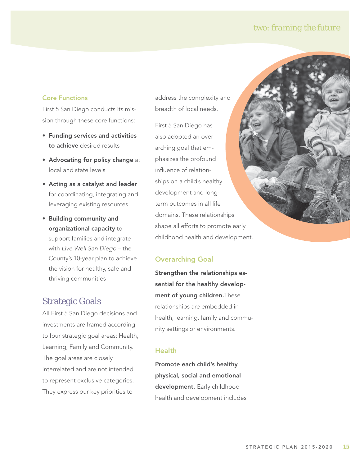#### **Core Functions**

First 5 San Diego conducts its mission through these core functions:

- **Funding services and activities to achieve** desired results
- **Advocating for policy change** at local and state levels
- **Acting as a catalyst and leader** for coordinating, integrating and leveraging existing resources
- **Building community and organizational capacity** to support families and integrate with Live Well San Diego – the County's 10-year plan to achieve the vision for healthy, safe and thriving communities

#### Strategic Goals

All First 5 San Diego decisions and investments are framed according to four strategic goal areas: Health, Learning, Family and Community. The goal areas are closely interrelated and are not intended to represent exclusive categories. They express our key priorities to

address the complexity and breadth of local needs.

First 5 San Diego has also adopted an overarching goal that emphasizes the profound influence of relationships on a child's healthy development and longterm outcomes in all life domains. These relationships shape all efforts to promote early childhood health and development.

#### **Overarching Goal**

**Strengthen the relationships essential for the healthy development of young children.**These relationships are embedded in health, learning, family and community settings or environments.

#### **Health**

**Promote each child's healthy physical, social and emotional development.** Early childhood health and development includes

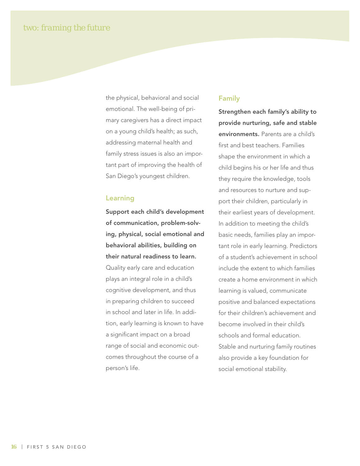the physical, behavioral and social emotional. The well-being of primary caregivers has a direct impact on a young child's health; as such, addressing maternal health and family stress issues is also an important part of improving the health of San Diego's youngest children.

#### **Learning**

**Support each child's development of communication, problem-solving, physical, social emotional and behavioral abilities, building on their natural readiness to learn.**

Quality early care and education plays an integral role in a child's cognitive development, and thus in preparing children to succeed in school and later in life. In addition, early learning is known to have a significant impact on a broad range of social and economic outcomes throughout the course of a person's life.

#### **Family**

**Strengthen each family's ability to provide nurturing, safe and stable environments.** Parents are a child's first and best teachers. Families shape the environment in which a child begins his or her life and thus they require the knowledge, tools and resources to nurture and support their children, particularly in their earliest years of development. In addition to meeting the child's basic needs, families play an important role in early learning. Predictors of a student's achievement in school include the extent to which families create a home environment in which learning is valued, communicate positive and balanced expectations for their children's achievement and become involved in their child's schools and formal education. Stable and nurturing family routines also provide a key foundation for social emotional stability.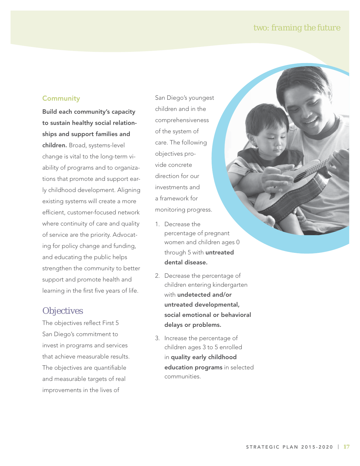#### **Community**

**Build each community's capacity to sustain healthy social relationships and support families and** 

**children.** Broad, systems-level change is vital to the long-term viability of programs and to organizations that promote and support early childhood development. Aligning existing systems will create a more efficient, customer-focused network where continuity of care and quality of service are the priority. Advocating for policy change and funding, and educating the public helps strengthen the community to better support and promote health and learning in the first five years of life.

#### **Objectives**

The objectives reflect First 5 San Diego's commitment to invest in programs and services that achieve measurable results. The objectives are quantifiable and measurable targets of real improvements in the lives of

San Diego's youngest children and in the comprehensiveness of the system of care. The following objectives provide concrete direction for our investments and a framework for monitoring progress.

- 1. Decrease the percentage of pregnant women and children ages 0 through 5 with **untreated dental disease.**
- 2. Decrease the percentage of children entering kindergarten with **undetected and/or untreated developmental, social emotional or behavioral delays or problems.**
- 3. Increase the percentage of children ages 3 to 5 enrolled in **quality early childhood education programs** in selected communities.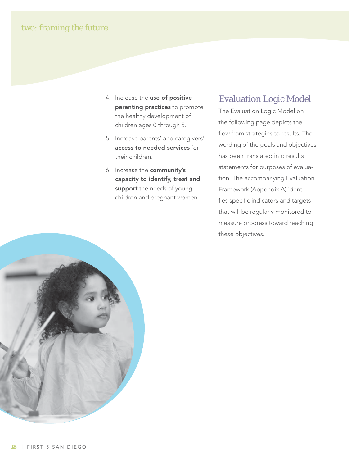- 4. Increase the **use of positive parenting practices** to promote the healthy development of children ages 0 through 5.
- 5. Increase parents' and caregivers' **access to needed services** for their children.
- 6. Increase the **community's capacity to identify, treat and support** the needs of young children and pregnant women.

#### Evaluation Logic Model

The Evaluation Logic Model on the following page depicts the flow from strategies to results. The wording of the goals and objectives has been translated into results statements for purposes of evaluation. The accompanying Evaluation Framework (Appendix A) identifies specific indicators and targets that will be regularly monitored to measure progress toward reaching these objectives.

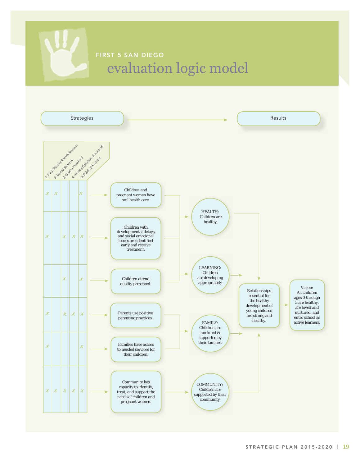# **FIRST 5 SAN DIEGO** evaluation logic model

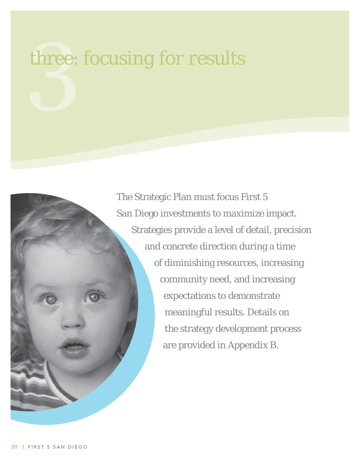# three: *focusing for results*

The Strategic Plan must focus First 5 San Diego investments to maximize impact. Strategies provide a level of detail, precision and concrete direction during a time of diminishing resources, increasing community need, and increasing expectations to demonstrate meaningful results. Details on the strategy development process are provided in Appendix B.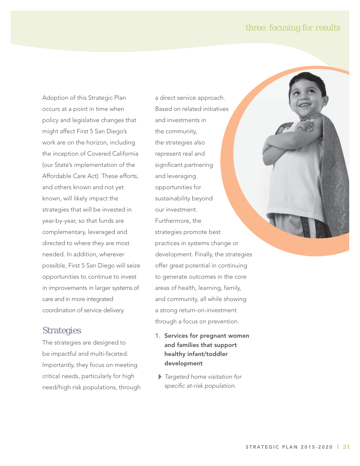#### three: *focusing for results*

Adoption of this Strategic Plan occurs at a point in time when policy and legislative changes that might affect First 5 San Diego's work are on the horizon, including the inception of Covered California (our State's implementation of the Affordable Care Act). These efforts, and others known and not yet known, will likely impact the strategies that will be invested in year-by-year, so that funds are complementary, leveraged and directed to where they are most needed. In addition, wherever possible, First 5 San Diego will seize opportunities to continue to invest in improvements in larger systems of care and in more integrated coordination of service delivery.

#### **Strategies**

The strategies are designed to be impactful and multi-faceted. Importantly, they focus on meeting critical needs, particularly for high need/high risk populations, through a direct service approach. Based on related initiatives and investments in the community, the strategies also represent real and significant partnering and leveraging opportunities for sustainability beyond our investment. Furthermore, the strategies promote best practices in systems change or development. Finally, the strategies offer great potential in continuing to generate outcomes in the core areas of health, learning, family, and community, all while showing a strong return-on-investment through a focus on prevention.

- **1. Services for pregnant women and families that support healthy infant/toddler development**
- $\blacktriangleright$  Targeted home visitation for specific at-risk population.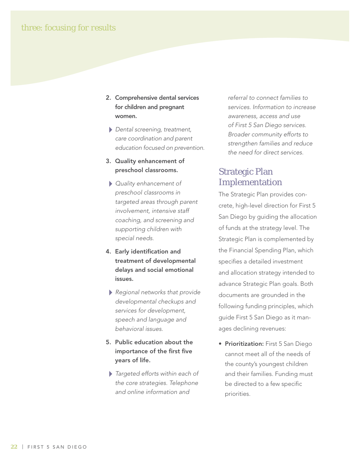- **2. Comprehensive dental services for children and pregnant women.**
	- Dental screening, treatment, care coordination and parent education focused on prevention.
- **3. Quality enhancement of preschool classrooms.**
- Quality enhancement of preschool classrooms in targeted areas through parent involvement, intensive staff coaching, and screening and supporting children with special needs.
- **4. Early identification and treatment of developmental delays and social emotional issues.**
- Regional networks that provide developmental checkups and services for development, speech and language and behavioral issues.
- **5. Public education about the importance of the first five years of life.**
- $\blacktriangleright$  Targeted efforts within each of the core strategies. Telephone and online information and

referral to connect families to services. Information to increase awareness, access and use of First 5 San Diego services. Broader community efforts to strengthen families and reduce the need for direct services.

#### Strategic Plan Implementation

The Strategic Plan provides concrete, high-level direction for First 5 San Diego by guiding the allocation of funds at the strategy level. The Strategic Plan is complemented by the Financial Spending Plan, which specifies a detailed investment and allocation strategy intended to advance Strategic Plan goals. Both documents are grounded in the following funding principles, which guide First 5 San Diego as it manages declining revenues:

**• Prioritization:** First 5 San Diego cannot meet all of the needs of the county's youngest children and their families. Funding must be directed to a few specific priorities.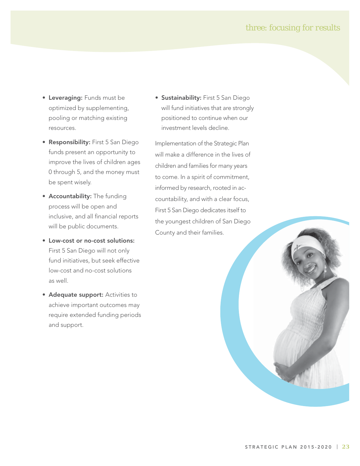#### three: *focusing for results*

- **Leveraging:** Funds must be optimized by supplementing, pooling or matching existing resources.
- **Responsibility:** First 5 San Diego funds present an opportunity to improve the lives of children ages 0 through 5, and the money must be spent wisely.
- **Accountability:** The funding process will be open and inclusive, and all financial reports will be public documents.
- **Low-cost or no-cost solutions:** First 5 San Diego will not only fund initiatives, but seek effective low-cost and no-cost solutions as well.
- **Adequate support: Activities to** achieve important outcomes may require extended funding periods and support.

**• Sustainability:** First 5 San Diego will fund initiatives that are strongly positioned to continue when our investment levels decline.

Implementation of the Strategic Plan will make a difference in the lives of children and families for many years to come. In a spirit of commitment, informed by research, rooted in accountability, and with a clear focus, First 5 San Diego dedicates itself to the youngest children of San Diego County and their families.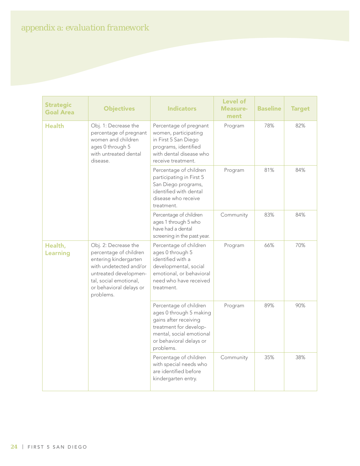| <b>Strategic</b><br><b>Goal Area</b> | <b>Objectives</b>                                                                                                                                                                            | <b>Indicators</b>                                                                                                                                                        | <b>Level of</b><br><b>Measure-</b><br>ment | <b>Baseline</b> | <b>Target</b> |
|--------------------------------------|----------------------------------------------------------------------------------------------------------------------------------------------------------------------------------------------|--------------------------------------------------------------------------------------------------------------------------------------------------------------------------|--------------------------------------------|-----------------|---------------|
| <b>Health</b>                        | Obj. 1: Decrease the<br>percentage of pregnant<br>women and children<br>ages 0 through 5<br>with untreated dental<br>disease.                                                                | Percentage of pregnant<br>women, participating<br>in First 5 San Diego<br>programs, identified<br>with dental disease who<br>receive treatment.                          | Program                                    | 78%             | 82%           |
|                                      |                                                                                                                                                                                              | Percentage of children<br>participating in First 5<br>San Diego programs,<br>identified with dental<br>disease who receive<br>treatment.                                 | Program                                    | 81%             | 84%           |
|                                      |                                                                                                                                                                                              | Percentage of children<br>ages 1 through 5 who<br>have had a dental<br>screening in the past year.                                                                       | Community                                  | 83%             | 84%           |
| Health,<br><b>Learning</b>           | Obj. 2: Decrease the<br>percentage of children<br>entering kindergarten<br>with undetected and/or<br>untreated developmen-<br>tal, social emotional,<br>or behavioral delays or<br>problems. | Percentage of children<br>ages 0 through 5<br>identified with a<br>developmental, social<br>emotional, or behavioral<br>need who have received<br>treatment.             | Program                                    | 66%             | 70%           |
|                                      |                                                                                                                                                                                              | Percentage of children<br>ages 0 through 5 making<br>gains after receiving<br>treatment for develop-<br>mental, social emotional<br>or behavioral delays or<br>problems. | Program                                    | 89%             | 90%           |
|                                      |                                                                                                                                                                                              | Percentage of children<br>with special needs who<br>are identified before<br>kindergarten entry.                                                                         | Community                                  | 35%             | 38%           |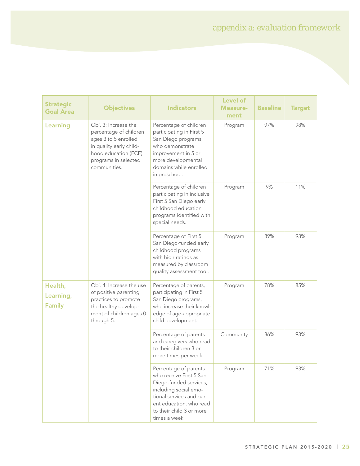| <b>Strategic</b><br><b>Goal Area</b>  | <b>Objectives</b>                                                                                                                                                 | <b>Indicators</b>                                                                                                                                                                                       | <b>Level of</b><br><b>Measure-</b><br>ment | <b>Baseline</b> | <b>Target</b> |
|---------------------------------------|-------------------------------------------------------------------------------------------------------------------------------------------------------------------|---------------------------------------------------------------------------------------------------------------------------------------------------------------------------------------------------------|--------------------------------------------|-----------------|---------------|
| Learning                              | Obj. 3: Increase the<br>percentage of children<br>ages 3 to 5 enrolled<br>in quality early child-<br>hood education (ECE)<br>programs in selected<br>communities. | Percentage of children<br>participating in First 5<br>San Diego programs,<br>who demonstrate<br>improvement in 5 or<br>more developmental<br>domains while enrolled<br>in preschool.                    | Program                                    | 97%             | 98%           |
|                                       |                                                                                                                                                                   | Percentage of children<br>participating in inclusive<br>First 5 San Diego early<br>childhood education<br>programs identified with<br>special needs.                                                    | Program                                    | 9%              | 11%           |
|                                       |                                                                                                                                                                   | Percentage of First 5<br>San Diego-funded early<br>childhood programs<br>with high ratings as<br>measured by classroom<br>quality assessment tool.                                                      | Program                                    | 89%             | 93%           |
| Health,<br>Learning,<br><b>Family</b> | Obj. 4: Increase the use<br>of positive parenting<br>practices to promote<br>the healthy develop-<br>ment of children ages 0<br>through 5.                        | Percentage of parents,<br>participating in First 5<br>San Diego programs,<br>who increase their knowl-<br>edge of age-appropriate<br>child development.                                                 | Program                                    | 78%             | 85%           |
|                                       |                                                                                                                                                                   | Percentage of parents<br>and caregivers who read<br>to their children 3 or<br>more times per week.                                                                                                      | Community                                  | 86%             | 93%           |
|                                       |                                                                                                                                                                   | Percentage of parents<br>who receive First 5 San<br>Diego-funded services,<br>including social emo-<br>tional services and par-<br>ent education, who read<br>to their child 3 or more<br>times a week. | Program                                    | 71%             | 93%           |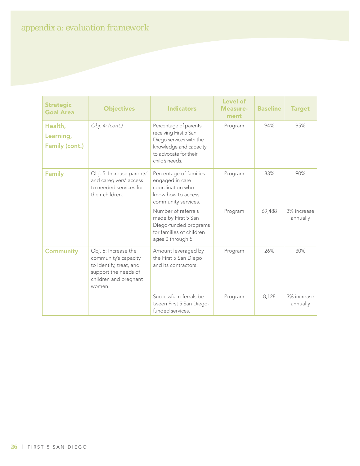| <b>Strategic</b><br><b>Goal Area</b>          | <b>Objectives</b>                                                                                                                  | <b>Indicators</b>                                                                                                                              | <b>Level of</b><br>Measure-<br>ment | <b>Baseline</b> | <b>Target</b>           |
|-----------------------------------------------|------------------------------------------------------------------------------------------------------------------------------------|------------------------------------------------------------------------------------------------------------------------------------------------|-------------------------------------|-----------------|-------------------------|
| Health,<br>Learning,<br><b>Family (cont.)</b> | Obj. 4: (cont.)                                                                                                                    | Percentage of parents<br>receiving First 5 San<br>Diego services with the<br>knowledge and capacity<br>to advocate for their<br>child's needs. | Program                             | 94%             | 95%                     |
| <b>Family</b>                                 | Obj. 5: Increase parents'<br>and caregivers' access<br>to needed services for<br>their children.                                   | Percentage of families<br>engaged in care<br>coordination who<br>know how to access<br>community services.                                     | Program                             | 83%             | 90%                     |
|                                               |                                                                                                                                    | Number of referrals<br>made by First 5 San<br>Diego-funded programs<br>for families of children<br>ages 0 through 5.                           | Program                             | 69,488          | 3% increase<br>annually |
| <b>Community</b>                              | Obj. 6: Increase the<br>community's capacity<br>to identify, treat, and<br>support the needs of<br>children and pregnant<br>women. | Amount leveraged by<br>the First 5 San Diego<br>and its contractors.                                                                           | Program                             | 26%             | 30%                     |
|                                               |                                                                                                                                    | Successful referrals be-<br>tween First 5 San Diego-<br>funded services.                                                                       | Program                             | 8,128           | 3% increase<br>annually |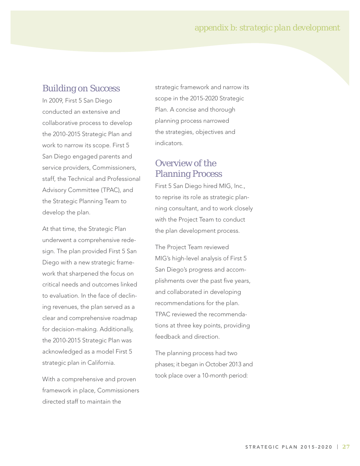#### appendix b: *strategic plan development*

#### Building on Success

In 2009, First 5 San Diego conducted an extensive and collaborative process to develop the 2010-2015 Strategic Plan and work to narrow its scope. First 5 San Diego engaged parents and service providers, Commissioners, staff, the Technical and Professional Advisory Committee (TPAC), and the Strategic Planning Team to develop the plan.

At that time, the Strategic Plan underwent a comprehensive redesign. The plan provided First 5 San Diego with a new strategic framework that sharpened the focus on critical needs and outcomes linked to evaluation. In the face of declining revenues, the plan served as a clear and comprehensive roadmap for decision-making. Additionally, the 2010-2015 Strategic Plan was acknowledged as a model First 5 strategic plan in California.

With a comprehensive and proven framework in place, Commissioners directed staff to maintain the

strategic framework and narrow its scope in the 2015-2020 Strategic Plan. A concise and thorough planning process narrowed the strategies, objectives and indicators.

#### Overview of the Planning Process

First 5 San Diego hired MIG, Inc., to reprise its role as strategic planning consultant, and to work closely with the Project Team to conduct the plan development process.

The Project Team reviewed MIG's high-level analysis of First 5 San Diego's progress and accomplishments over the past five years, and collaborated in developing recommendations for the plan. TPAC reviewed the recommendations at three key points, providing feedback and direction.

The planning process had two phases; it began in October 2013 and took place over a 10-month period: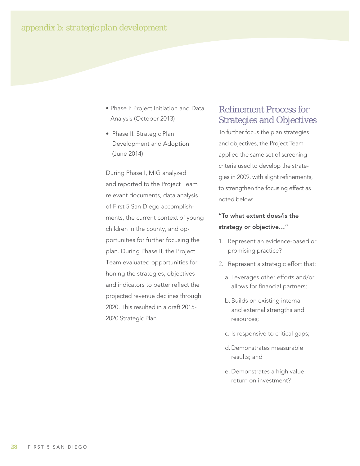- Phase I: Project Initiation and Data Analysis (October 2013)
- Phase II: Strategic Plan Development and Adoption (June 2014)

During Phase I, MIG analyzed and reported to the Project Team relevant documents, data analysis of First 5 San Diego accomplishments, the current context of young children in the county, and opportunities for further focusing the plan. During Phase II, the Project Team evaluated opportunities for honing the strategies, objectives and indicators to better reflect the projected revenue declines through 2020. This resulted in a draft 2015- 2020 Strategic Plan.

#### **Refinement Process for** Strategies and Objectives

To further focus the plan strategies and objectives, the Project Team applied the same set of screening criteria used to develop the strategies in 2009, with slight refinements, to strengthen the focusing effect as noted below:

#### **"To what extent does/is the strategy or objective…"**

- 1. Represent an evidence-based or promising practice?
- 2. Represent a strategic effort that:
	- a. Leverages other efforts and/or allows for financial partners;
	- b. Builds on existing internal and external strengths and resources;
	- c. Is responsive to critical gaps;
	- d. Demonstrates measurable results; and
	- e. Demonstrates a high value return on investment?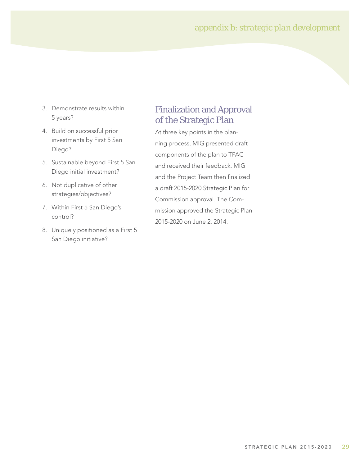- 3. Demonstrate results within 5 years?
- 4. Build on successful prior investments by First 5 San Diego?
- 5. Sustainable beyond First 5 San Diego initial investment?
- 6. Not duplicative of other strategies/objectives?
- 7. Within First 5 San Diego's control?
- 8. Uniquely positioned as a First 5 San Diego initiative?

#### Finalization and Approval of the Strategic Plan

At three key points in the planning process, MIG presented draft components of the plan to TPAC and received their feedback. MIG and the Project Team then finalized a draft 2015-2020 Strategic Plan for Commission approval. The Commission approved the Strategic Plan 2015-2020 on June 2, 2014.